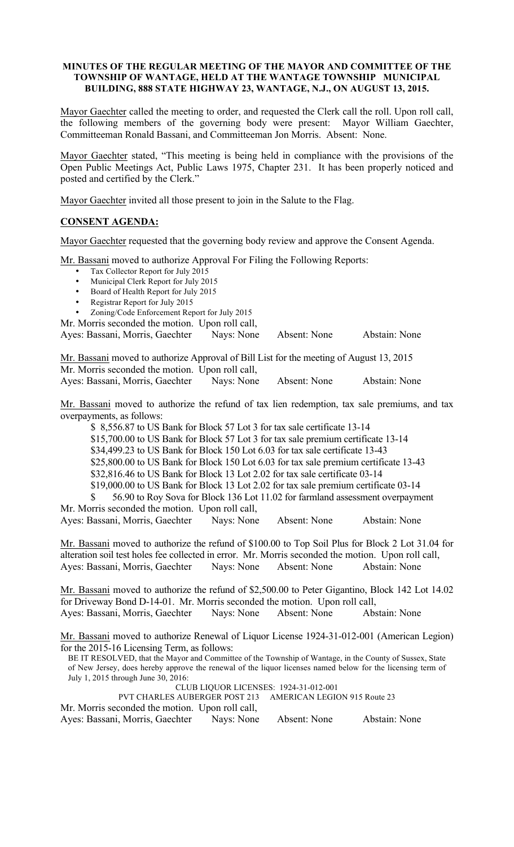## MINUTES OF THE REGULAR MEETING OF THE MAYOR AND COMMITTEE OF THE TOWNSHIP OF WANTAGE, HELD AT THE WANTAGE TOWNSHIP MUNICIPAL BUILDING, 888 STATE HIGHWAY 23, WANTAGE, N.J., ON AUGUST 13, 2015.

Mayor Gaechter called the meeting to order, and requested the Clerk call the roll. Upon roll call, the following members of the governing body were present: Mayor William Gaechter, Committeeman Ronald Bassani, and Committeeman Jon Morris. Absent: None.

Mayor Gaechter stated, "This meeting is being held in compliance with the provisions of the Open Public Meetings Act, Public Laws 1975, Chapter 231. It has been properly noticed and posted and certified by the Clerk."

Mayor Gaechter invited all those present to join in the Salute to the Flag.

# CONSENT AGENDA:

Mayor Gaechter requested that the governing body review and approve the Consent Agenda.

Mr. Bassani moved to authorize Approval For Filing the Following Reports:

- Tax Collector Report for July 2015
- Municipal Clerk Report for July 2015
- Board of Health Report for July 2015
- Registrar Report for July 2015
- Zoning/Code Enforcement Report for July 2015

Mr. Morris seconded the motion. Upon roll call,

Ayes: Bassani, Morris, Gaechter Nays: None Absent: None Abstain: None

Mr. Bassani moved to authorize Approval of Bill List for the meeting of August 13, 2015 Mr. Morris seconded the motion. Upon roll call, Ayes: Bassani, Morris, Gaechter Nays: None Absent: None Abstain: None

Mr. Bassani moved to authorize the refund of tax lien redemption, tax sale premiums, and tax overpayments, as follows:

\$ 8,556.87 to US Bank for Block 57 Lot 3 for tax sale certificate 13-14

\$15,700.00 to US Bank for Block 57 Lot 3 for tax sale premium certificate 13-14

\$34,499.23 to US Bank for Block 150 Lot 6.03 for tax sale certificate 13-43

\$25,800.00 to US Bank for Block 150 Lot 6.03 for tax sale premium certificate 13-43

\$32,816.46 to US Bank for Block 13 Lot 2.02 for tax sale certificate 03-14

\$19,000.00 to US Bank for Block 13 Lot 2.02 for tax sale premium certificate 03-14

\$ 56.90 to Roy Sova for Block 136 Lot 11.02 for farmland assessment overpayment Mr. Morris seconded the motion. Upon roll call,

Ayes: Bassani, Morris, Gaechter Nays: None Absent: None Abstain: None

Mr. Bassani moved to authorize the refund of \$100.00 to Top Soil Plus for Block 2 Lot 31.04 for alteration soil test holes fee collected in error. Mr. Morris seconded the motion. Upon roll call, Ayes: Bassani, Morris, Gaechter Nays: None Absent: None Abstain: None

Mr. Bassani moved to authorize the refund of \$2,500.00 to Peter Gigantino, Block 142 Lot 14.02 for Driveway Bond D-14-01. Mr. Morris seconded the motion. Upon roll call, Ayes: Bassani, Morris, Gaechter Nays: None Absent: None Abstain: None

Mr. Bassani moved to authorize Renewal of Liquor License 1924-31-012-001 (American Legion) for the 2015-16 Licensing Term, as follows:

BE IT RESOLVED, that the Mayor and Committee of the Township of Wantage, in the County of Sussex, State of New Jersey, does hereby approve the renewal of the liquor licenses named below for the licensing term of July 1, 2015 through June 30, 2016:

CLUB LIQUOR LICENSES: 1924-31-012-001

PVT CHARLES AUBERGER POST 213 AMERICAN LEGION 915 Route 23

Mr. Morris seconded the motion. Upon roll call,

Ayes: Bassani, Morris, Gaechter Nays: None Absent: None Abstain: None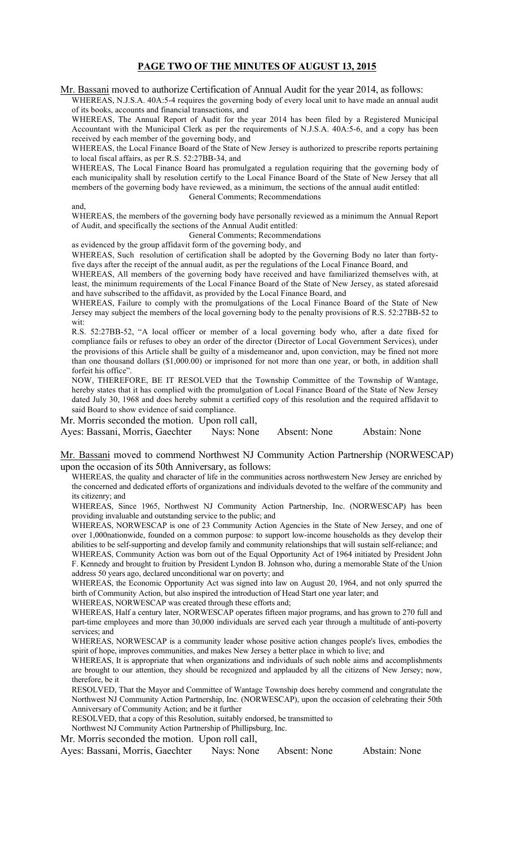## PAGE TWO OF THE MINUTES OF AUGUST 13, 2015

Mr. Bassani moved to authorize Certification of Annual Audit for the year 2014, as follows:

WHEREAS, N.J.S.A. 40A:5-4 requires the governing body of every local unit to have made an annual audit of its books, accounts and financial transactions, and

WHEREAS, The Annual Report of Audit for the year 2014 has been filed by a Registered Municipal Accountant with the Municipal Clerk as per the requirements of N.J.S.A. 40A:5-6, and a copy has been received by each member of the governing body, and

WHEREAS, the Local Finance Board of the State of New Jersey is authorized to prescribe reports pertaining to local fiscal affairs, as per R.S. 52:27BB-34, and

WHEREAS, The Local Finance Board has promulgated a regulation requiring that the governing body of each municipality shall by resolution certify to the Local Finance Board of the State of New Jersey that all members of the governing body have reviewed, as a minimum, the sections of the annual audit entitled: General Comments; Recommendations

and,

WHEREAS, the members of the governing body have personally reviewed as a minimum the Annual Report of Audit, and specifically the sections of the Annual Audit entitled:

General Comments; Recommendations

as evidenced by the group affidavit form of the governing body, and

WHEREAS, Such resolution of certification shall be adopted by the Governing Body no later than fortyfive days after the receipt of the annual audit, as per the regulations of the Local Finance Board, and

WHEREAS, All members of the governing body have received and have familiarized themselves with, at least, the minimum requirements of the Local Finance Board of the State of New Jersey, as stated aforesaid and have subscribed to the affidavit, as provided by the Local Finance Board, and

WHEREAS, Failure to comply with the promulgations of the Local Finance Board of the State of New Jersey may subject the members of the local governing body to the penalty provisions of R.S. 52:27BB-52 to wit:

R.S. 52:27BB-52, "A local officer or member of a local governing body who, after a date fixed for compliance fails or refuses to obey an order of the director (Director of Local Government Services), under the provisions of this Article shall be guilty of a misdemeanor and, upon conviction, may be fined not more than one thousand dollars (\$1,000.00) or imprisoned for not more than one year, or both, in addition shall forfeit his office".

NOW, THEREFORE, BE IT RESOLVED that the Township Committee of the Township of Wantage, hereby states that it has complied with the promulgation of Local Finance Board of the State of New Jersey dated July 30, 1968 and does hereby submit a certified copy of this resolution and the required affidavit to said Board to show evidence of said compliance.

Mr. Morris seconded the motion. Upon roll call,

Ayes: Bassani, Morris, Gaechter Nays: None Absent: None Abstain: None

Mr. Bassani moved to commend Northwest NJ Community Action Partnership (NORWESCAP) upon the occasion of its 50th Anniversary, as follows:

WHEREAS, the quality and character of life in the communities across northwestern New Jersey are enriched by the concerned and dedicated efforts of organizations and individuals devoted to the welfare of the community and its citizenry; and

WHEREAS, Since 1965, Northwest NJ Community Action Partnership, Inc. (NORWESCAP) has been providing invaluable and outstanding service to the public; and

WHEREAS, NORWESCAP is one of 23 Community Action Agencies in the State of New Jersey, and one of over 1,000nationwide, founded on a common purpose: to support low-income households as they develop their abilities to be self-supporting and develop family and community relationships that will sustain self-reliance; and

WHEREAS, Community Action was born out of the Equal Opportunity Act of 1964 initiated by President John F. Kennedy and brought to fruition by President Lyndon B. Johnson who, during a memorable State of the Union address 50 years ago, declared unconditional war on poverty; and

WHEREAS, the Economic Opportunity Act was signed into law on August 20, 1964, and not only spurred the birth of Community Action, but also inspired the introduction of Head Start one year later; and

WHEREAS, NORWESCAP was created through these efforts and;

WHEREAS, Half a century later, NORWESCAP operates fifteen major programs, and has grown to 270 full and part-time employees and more than 30,000 individuals are served each year through a multitude of anti-poverty services; and

WHEREAS, NORWESCAP is a community leader whose positive action changes people's lives, embodies the spirit of hope, improves communities, and makes New Jersey a better place in which to live; and

WHEREAS, It is appropriate that when organizations and individuals of such noble aims and accomplishments are brought to our attention, they should be recognized and applauded by all the citizens of New Jersey; now, therefore, be it

RESOLVED, That the Mayor and Committee of Wantage Township does hereby commend and congratulate the Northwest NJ Community Action Partnership, Inc. (NORWESCAP), upon the occasion of celebrating their 50th Anniversary of Community Action; and be it further

RESOLVED, that a copy of this Resolution, suitably endorsed, be transmitted to

Northwest NJ Community Action Partnership of Phillipsburg, Inc.

Mr. Morris seconded the motion. Upon roll call,

Ayes: Bassani, Morris, Gaechter Nays: None Absent: None Abstain: None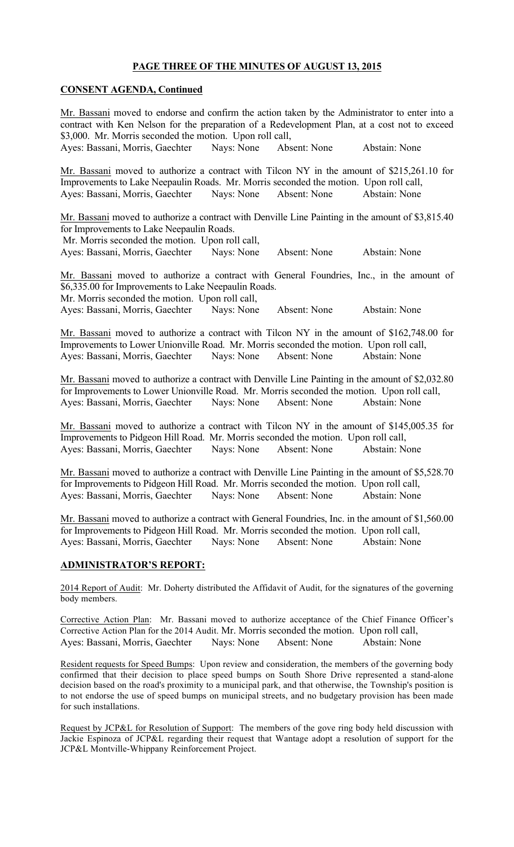## PAGE THREE OF THE MINUTES OF AUGUST 13, 2015

### CONSENT AGENDA, Continued

Mr. Bassani moved to endorse and confirm the action taken by the Administrator to enter into a contract with Ken Nelson for the preparation of a Redevelopment Plan, at a cost not to exceed \$3,000. Mr. Morris seconded the motion. Upon roll call, Ayes: Bassani, Morris, Gaechter Nays: None Absent: None Abstain: None Mr. Bassani moved to authorize a contract with Tilcon NY in the amount of \$215,261.10 for Improvements to Lake Neepaulin Roads. Mr. Morris seconded the motion. Upon roll call, Ayes: Bassani, Morris, Gaechter Nays: None Absent: None Abstain: None Mr. Bassani moved to authorize a contract with Denville Line Painting in the amount of \$3,815.40 for Improvements to Lake Neepaulin Roads. Mr. Morris seconded the motion. Upon roll call, Ayes: Bassani, Morris, Gaechter Nays: None Absent: None Abstain: None Mr. Bassani moved to authorize a contract with General Foundries, Inc., in the amount of \$6,335.00 for Improvements to Lake Neepaulin Roads. Mr. Morris seconded the motion. Upon roll call, Ayes: Bassani, Morris, Gaechter Nays: None Absent: None Abstain: None Mr. Bassani moved to authorize a contract with Tilcon NY in the amount of \$162,748.00 for Improvements to Lower Unionville Road. Mr. Morris seconded the motion. Upon roll call, Ayes: Bassani, Morris, Gaechter Nays: None Absent: None Abstain: None Mr. Bassani moved to authorize a contract with Denville Line Painting in the amount of \$2,032.80 for Improvements to Lower Unionville Road. Mr. Morris seconded the motion. Upon roll call, Ayes: Bassani, Morris, Gaechter Nays: None Absent: None Abstain: None Mr. Bassani moved to authorize a contract with Tilcon NY in the amount of \$145,005.35 for Improvements to Pidgeon Hill Road. Mr. Morris seconded the motion. Upon roll call, Ayes: Bassani, Morris, Gaechter Nays: None Absent: None Abstain: None Mr. Bassani moved to authorize a contract with Denville Line Painting in the amount of \$5,528.70 for Improvements to Pidgeon Hill Road. Mr. Morris seconded the motion. Upon roll call, Ayes: Bassani, Morris, Gaechter Nays: None Absent: None Abstain: None Mr. Bassani moved to authorize a contract with General Foundries, Inc. in the amount of \$1,560.00 for Improvements to Pidgeon Hill Road. Mr. Morris seconded the motion. Upon roll call, Ayes: Bassani, Morris, Gaechter Nays: None Absent: None Abstain: None ADMINISTRATOR'S REPORT: 2014 Report of Audit: Mr. Doherty distributed the Affidavit of Audit, for the signatures of the governing body members. Corrective Action Plan: Mr. Bassani moved to authorize acceptance of the Chief Finance Officer's Corrective Action Plan for the 2014 Audit. Mr. Morris seconded the motion. Upon roll call, Ayes: Bassani, Morris, Gaechter Nays: None Absent: None Abstain: None

Resident requests for Speed Bumps: Upon review and consideration, the members of the governing body confirmed that their decision to place speed bumps on South Shore Drive represented a stand-alone decision based on the road's proximity to a municipal park, and that otherwise, the Township's position is to not endorse the use of speed bumps on municipal streets, and no budgetary provision has been made for such installations.

Request by JCP&L for Resolution of Support: The members of the gove ring body held discussion with Jackie Espinoza of JCP&L regarding their request that Wantage adopt a resolution of support for the JCP&L Montville-Whippany Reinforcement Project.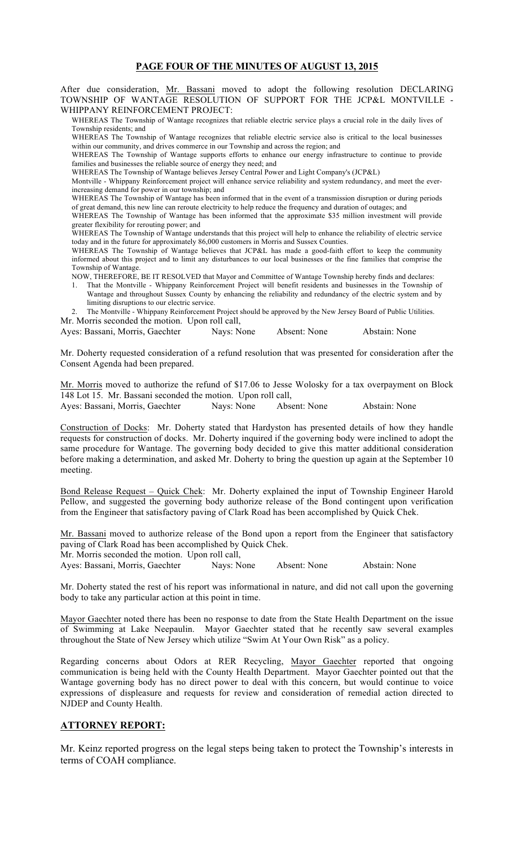## PAGE FOUR OF THE MINUTES OF AUGUST 13, 2015

After due consideration, Mr. Bassani moved to adopt the following resolution DECLARING TOWNSHIP OF WANTAGE RESOLUTION OF SUPPORT FOR THE JCP&L MONTVILLE - WHIPPANY REINFORCEMENT PROJECT:

WHEREAS The Township of Wantage recognizes that reliable electric service plays a crucial role in the daily lives of Township residents; and

WHEREAS The Township of Wantage recognizes that reliable electric service also is critical to the local businesses within our community, and drives commerce in our Township and across the region; and

WHEREAS The Township of Wantage supports efforts to enhance our energy infrastructure to continue to provide families and businesses the reliable source of energy they need; and

WHEREAS The Township of Wantage believes Jersey Central Power and Light Company's (JCP&L)

Montville - Whippany Reinforcement project will enhance service reliability and system redundancy, and meet the everincreasing demand for power in our township; and

WHEREAS The Township of Wantage has been informed that in the event of a transmission disruption or during periods of great demand, this new line can reroute electricity to help reduce the frequency and duration of outages; and

WHEREAS The Township of Wantage has been informed that the approximate \$35 million investment will provide greater flexibility for rerouting power; and

WHEREAS The Township of Wantage understands that this project will help to enhance the reliability of electric service today and in the future for approximately 86,000 customers in Morris and Sussex Counties.

WHEREAS The Township of Wantage believes that JCP&L has made a good-faith effort to keep the community informed about this project and to limit any disturbances to our local businesses or the fine families that comprise the Township of Wantage.

NOW, THEREFORE, BE IT RESOLVED that Mayor and Committee of Wantage Township hereby finds and declares:

1. That the Montville - Whippany Reinforcement Project will benefit residents and businesses in the Township of Wantage and throughout Sussex County by enhancing the reliability and redundancy of the electric system and by limiting disruptions to our electric service.

2. The Montville - Whippany Reinforcement Project should be approved by the New Jersey Board of Public Utilities. Mr. Morris seconded the motion. Upon roll call,

Ayes: Bassani, Morris, Gaechter Nays: None Absent: None Abstain: None

Mr. Doherty requested consideration of a refund resolution that was presented for consideration after the Consent Agenda had been prepared.

Mr. Morris moved to authorize the refund of \$17.06 to Jesse Wolosky for a tax overpayment on Block 148 Lot 15. Mr. Bassani seconded the motion. Upon roll call,

Ayes: Bassani, Morris, Gaechter Nays: None Absent: None Abstain: None

Construction of Docks: Mr. Doherty stated that Hardyston has presented details of how they handle requests for construction of docks. Mr. Doherty inquired if the governing body were inclined to adopt the same procedure for Wantage. The governing body decided to give this matter additional consideration before making a determination, and asked Mr. Doherty to bring the question up again at the September 10 meeting.

Bond Release Request – Quick Chek: Mr. Doherty explained the input of Township Engineer Harold Pellow, and suggested the governing body authorize release of the Bond contingent upon verification from the Engineer that satisfactory paving of Clark Road has been accomplished by Quick Chek.

Mr. Bassani moved to authorize release of the Bond upon a report from the Engineer that satisfactory paving of Clark Road has been accomplished by Quick Chek. Mr. Morris seconded the motion. Upon roll call,

Ayes: Bassani, Morris, Gaechter Nays: None Absent: None Abstain: None

Mr. Doherty stated the rest of his report was informational in nature, and did not call upon the governing body to take any particular action at this point in time.

Mayor Gaechter noted there has been no response to date from the State Health Department on the issue of Swimming at Lake Neepaulin. Mayor Gaechter stated that he recently saw several examples throughout the State of New Jersey which utilize "Swim At Your Own Risk" as a policy.

Regarding concerns about Odors at RER Recycling, Mayor Gaechter reported that ongoing communication is being held with the County Health Department. Mayor Gaechter pointed out that the Wantage governing body has no direct power to deal with this concern, but would continue to voice expressions of displeasure and requests for review and consideration of remedial action directed to NJDEP and County Health.

## ATTORNEY REPORT:

Mr. Keinz reported progress on the legal steps being taken to protect the Township's interests in terms of COAH compliance.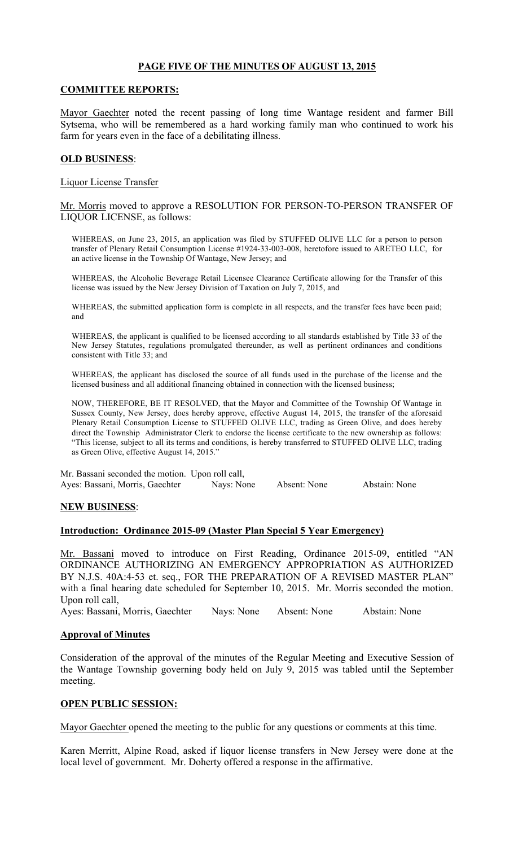# PAGE FIVE OF THE MINUTES OF AUGUST 13, 2015

### COMMITTEE REPORTS:

Mayor Gaechter noted the recent passing of long time Wantage resident and farmer Bill Sytsema, who will be remembered as a hard working family man who continued to work his farm for years even in the face of a debilitating illness.

### OLD BUSINESS:

Liquor License Transfer

Mr. Morris moved to approve a RESOLUTION FOR PERSON-TO-PERSON TRANSFER OF LIQUOR LICENSE, as follows:

WHEREAS, on June 23, 2015, an application was filed by STUFFED OLIVE LLC for a person to person transfer of Plenary Retail Consumption License #1924-33-003-008, heretofore issued to ARETEO LLC, for an active license in the Township Of Wantage, New Jersey; and

WHEREAS, the Alcoholic Beverage Retail Licensee Clearance Certificate allowing for the Transfer of this license was issued by the New Jersey Division of Taxation on July 7, 2015, and

WHEREAS, the submitted application form is complete in all respects, and the transfer fees have been paid; and

WHEREAS, the applicant is qualified to be licensed according to all standards established by Title 33 of the New Jersey Statutes, regulations promulgated thereunder, as well as pertinent ordinances and conditions consistent with Title 33; and

WHEREAS, the applicant has disclosed the source of all funds used in the purchase of the license and the licensed business and all additional financing obtained in connection with the licensed business;

NOW, THEREFORE, BE IT RESOLVED, that the Mayor and Committee of the Township Of Wantage in Sussex County, New Jersey, does hereby approve, effective August 14, 2015, the transfer of the aforesaid Plenary Retail Consumption License to STUFFED OLIVE LLC, trading as Green Olive, and does hereby direct the Township Administrator Clerk to endorse the license certificate to the new ownership as follows: "This license, subject to all its terms and conditions, is hereby transferred to STUFFED OLIVE LLC, trading as Green Olive, effective August 14, 2015."

Mr. Bassani seconded the motion. Upon roll call, Ayes: Bassani, Morris, Gaechter Nays: None Absent: None Abstain: None

#### NEW BUSINESS:

#### Introduction: Ordinance 2015-09 (Master Plan Special 5 Year Emergency)

Mr. Bassani moved to introduce on First Reading, Ordinance 2015-09, entitled "AN ORDINANCE AUTHORIZING AN EMERGENCY APPROPRIATION AS AUTHORIZED BY N.J.S. 40A:4-53 et. seq., FOR THE PREPARATION OF A REVISED MASTER PLAN" with a final hearing date scheduled for September 10, 2015. Mr. Morris seconded the motion. Upon roll call,

Ayes: Bassani, Morris, Gaechter Nays: None Absent: None Abstain: None

#### Approval of Minutes

Consideration of the approval of the minutes of the Regular Meeting and Executive Session of the Wantage Township governing body held on July 9, 2015 was tabled until the September meeting.

## OPEN PUBLIC SESSION:

Mayor Gaechter opened the meeting to the public for any questions or comments at this time.

Karen Merritt, Alpine Road, asked if liquor license transfers in New Jersey were done at the local level of government. Mr. Doherty offered a response in the affirmative.